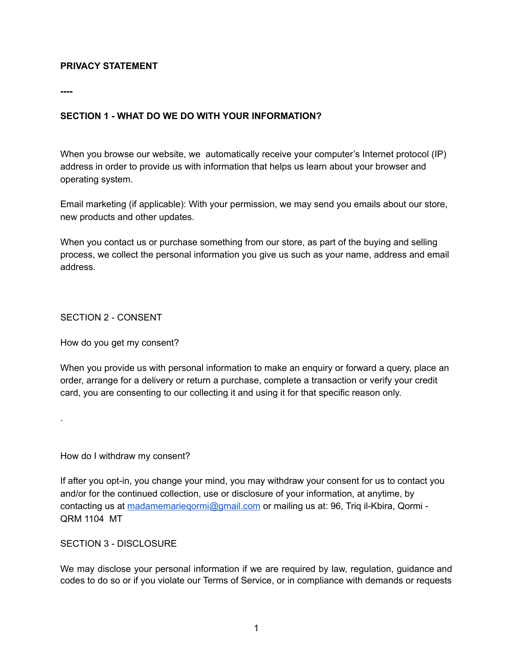### **PRIVACY STATEMENT**

**----**

### **SECTION 1 - WHAT DO WE DO WITH YOUR INFORMATION?**

When you browse our website, we automatically receive your computer's Internet protocol (IP) address in order to provide us with information that helps us learn about your browser and operating system.

Email marketing (if applicable): With your permission, we may send you emails about our store, new products and other updates.

When you contact us or purchase something from our store, as part of the buying and selling process, we collect the personal information you give us such as your name, address and email address.

SECTION 2 - CONSENT

.

How do you get my consent?

When you provide us with personal information to make an enquiry or forward a query, place an order, arrange for a delivery or return a purchase, complete a transaction or verify your credit card, you are consenting to our collecting it and using it for that specific reason only.

How do I withdraw my consent?

If after you opt-in, you change your mind, you may withdraw your consent for us to contact you and/or for the continued collection, use or disclosure of your information, at anytime, by contacting us at [madamemarieqormi@gmail.com](mailto:madamemarieqormi@gmail.com) or mailing us at: 96, Triq il-Kbira, Qormi - QRM 1104 MT

SECTION 3 - DISCLOSURE

We may disclose your personal information if we are required by law, regulation, guidance and codes to do so or if you violate our Terms of Service, or in compliance with demands or requests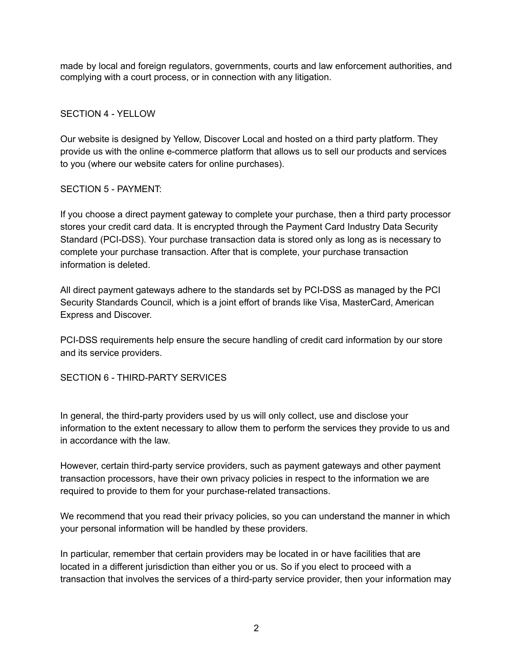made by local and foreign regulators, governments, courts and law enforcement authorities, and complying with a court process, or in connection with any litigation.

### SECTION 4 - YELLOW

Our website is designed by Yellow, Discover Local and hosted on a third party platform. They provide us with the online e-commerce platform that allows us to sell our products and services to you (where our website caters for online purchases).

### SECTION 5 - PAYMENT:

If you choose a direct payment gateway to complete your purchase, then a third party processor stores your credit card data. It is encrypted through the Payment Card Industry Data Security Standard (PCI-DSS). Your purchase transaction data is stored only as long as is necessary to complete your purchase transaction. After that is complete, your purchase transaction information is deleted.

All direct payment gateways adhere to the standards set by PCI-DSS as managed by the PCI Security Standards Council, which is a joint effort of brands like Visa, MasterCard, American Express and Discover.

PCI-DSS requirements help ensure the secure handling of credit card information by our store and its service providers.

# SECTION 6 - THIRD-PARTY SERVICES

In general, the third-party providers used by us will only collect, use and disclose your information to the extent necessary to allow them to perform the services they provide to us and in accordance with the law.

However, certain third-party service providers, such as payment gateways and other payment transaction processors, have their own privacy policies in respect to the information we are required to provide to them for your purchase-related transactions.

We recommend that you read their privacy policies, so you can understand the manner in which your personal information will be handled by these providers.

In particular, remember that certain providers may be located in or have facilities that are located in a different jurisdiction than either you or us. So if you elect to proceed with a transaction that involves the services of a third-party service provider, then your information may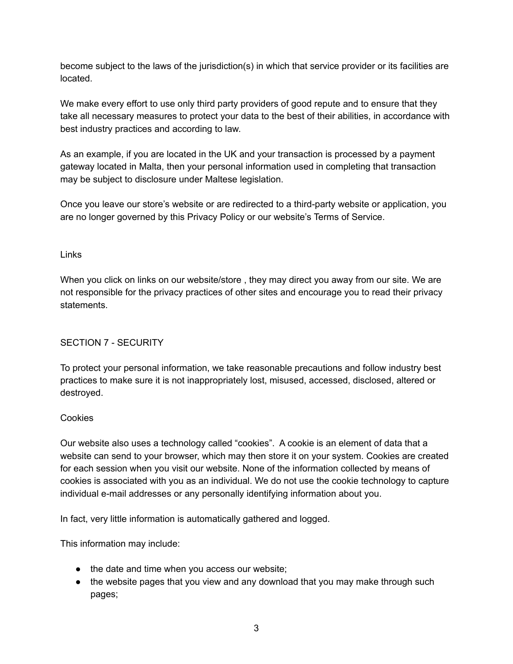become subject to the laws of the jurisdiction(s) in which that service provider or its facilities are located.

We make every effort to use only third party providers of good repute and to ensure that they take all necessary measures to protect your data to the best of their abilities, in accordance with best industry practices and according to law.

As an example, if you are located in the UK and your transaction is processed by a payment gateway located in Malta, then your personal information used in completing that transaction may be subject to disclosure under Maltese legislation.

Once you leave our store's website or are redirected to a third-party website or application, you are no longer governed by this Privacy Policy or our website's Terms of Service.

# Links

When you click on links on our website/store , they may direct you away from our site. We are not responsible for the privacy practices of other sites and encourage you to read their privacy statements.

# SECTION 7 - SECURITY

To protect your personal information, we take reasonable precautions and follow industry best practices to make sure it is not inappropriately lost, misused, accessed, disclosed, altered or destroyed.

#### Cookies

Our website also uses a technology called "cookies". A cookie is an element of data that a website can send to your browser, which may then store it on your system. Cookies are created for each session when you visit our website. None of the information collected by means of cookies is associated with you as an individual. We do not use the cookie technology to capture individual e-mail addresses or any personally identifying information about you.

In fact, very little information is automatically gathered and logged.

This information may include:

- the date and time when you access our website;
- the website pages that you view and any download that you may make through such pages;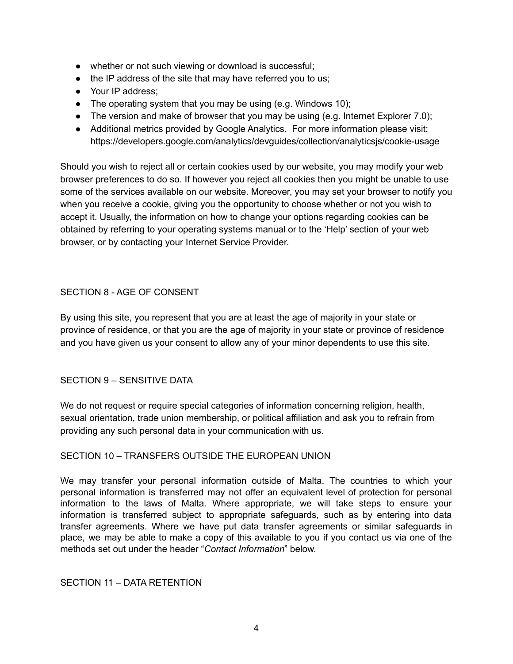- whether or not such viewing or download is successful;
- the IP address of the site that may have referred you to us;
- Your IP address:
- The operating system that you may be using (e.g. Windows 10);
- $\bullet$  The version and make of browser that you may be using (e.g. Internet Explorer 7.0);
- Additional metrics provided by Google Analytics. For more information please visit: https://developers.google.com/analytics/devguides/collection/analyticsjs/cookie-usage

Should you wish to reject all or certain cookies used by our website, you may modify your web browser preferences to do so. If however you reject all cookies then you might be unable to use some of the services available on our website. Moreover, you may set your browser to notify you when you receive a cookie, giving you the opportunity to choose whether or not you wish to accept it. Usually, the information on how to change your options regarding cookies can be obtained by referring to your operating systems manual or to the 'Help' section of your web browser, or by contacting your Internet Service Provider.

# SECTION 8 - AGE OF CONSENT

By using this site, you represent that you are at least the age of majority in your state or province of residence, or that you are the age of majority in your state or province of residence and you have given us your consent to allow any of your minor dependents to use this site.

# SECTION 9 – SENSITIVE DATA

We do not request or require special categories of information concerning religion, health, sexual orientation, trade union membership, or political affiliation and ask you to refrain from providing any such personal data in your communication with us.

# SECTION 10 – TRANSFERS OUTSIDE THE EUROPEAN UNION

We may transfer your personal information outside of Malta. The countries to which your personal information is transferred may not offer an equivalent level of protection for personal information to the laws of Malta. Where appropriate, we will take steps to ensure your information is transferred subject to appropriate safeguards, such as by entering into data transfer agreements. Where we have put data transfer agreements or similar safeguards in place, we may be able to make a copy of this available to you if you contact us via one of the methods set out under the header "*Contact Information*" below.

# SECTION 11 – DATA RETENTION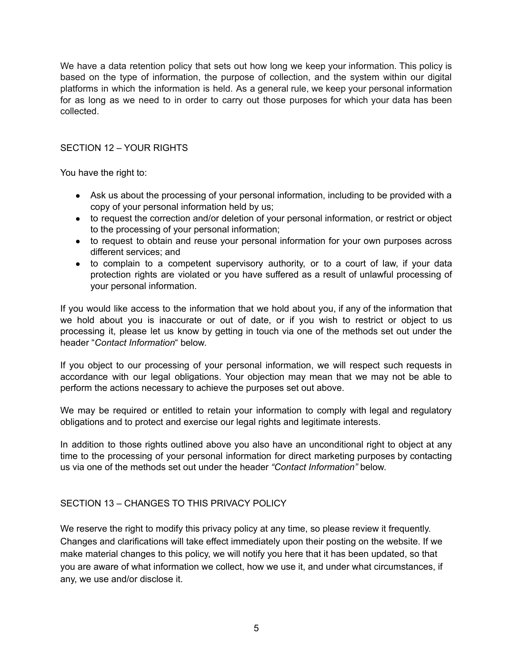We have a data retention policy that sets out how long we keep your information. This policy is based on the type of information, the purpose of collection, and the system within our digital platforms in which the information is held. As a general rule, we keep your personal information for as long as we need to in order to carry out those purposes for which your data has been collected.

### SECTION 12 – YOUR RIGHTS

You have the right to:

- Ask us about the processing of your personal information, including to be provided with a copy of your personal information held by us;
- to request the correction and/or deletion of your personal information, or restrict or object to the processing of your personal information;
- to request to obtain and reuse your personal information for your own purposes across different services; and
- to complain to a competent supervisory authority, or to a court of law, if your data protection rights are violated or you have suffered as a result of unlawful processing of your personal information.

If you would like access to the information that we hold about you, if any of the information that we hold about you is inaccurate or out of date, or if you wish to restrict or object to us processing it, please let us know by getting in touch via one of the methods set out under the header "*Contact Information*" below.

If you object to our processing of your personal information, we will respect such requests in accordance with our legal obligations. Your objection may mean that we may not be able to perform the actions necessary to achieve the purposes set out above.

We may be required or entitled to retain your information to comply with legal and regulatory obligations and to protect and exercise our legal rights and legitimate interests.

In addition to those rights outlined above you also have an unconditional right to object at any time to the processing of your personal information for direct marketing purposes by contacting us via one of the methods set out under the header *"Contact Information"* below.

#### SECTION 13 – CHANGES TO THIS PRIVACY POLICY

We reserve the right to modify this privacy policy at any time, so please review it frequently. Changes and clarifications will take effect immediately upon their posting on the website. If we make material changes to this policy, we will notify you here that it has been updated, so that you are aware of what information we collect, how we use it, and under what circumstances, if any, we use and/or disclose it.